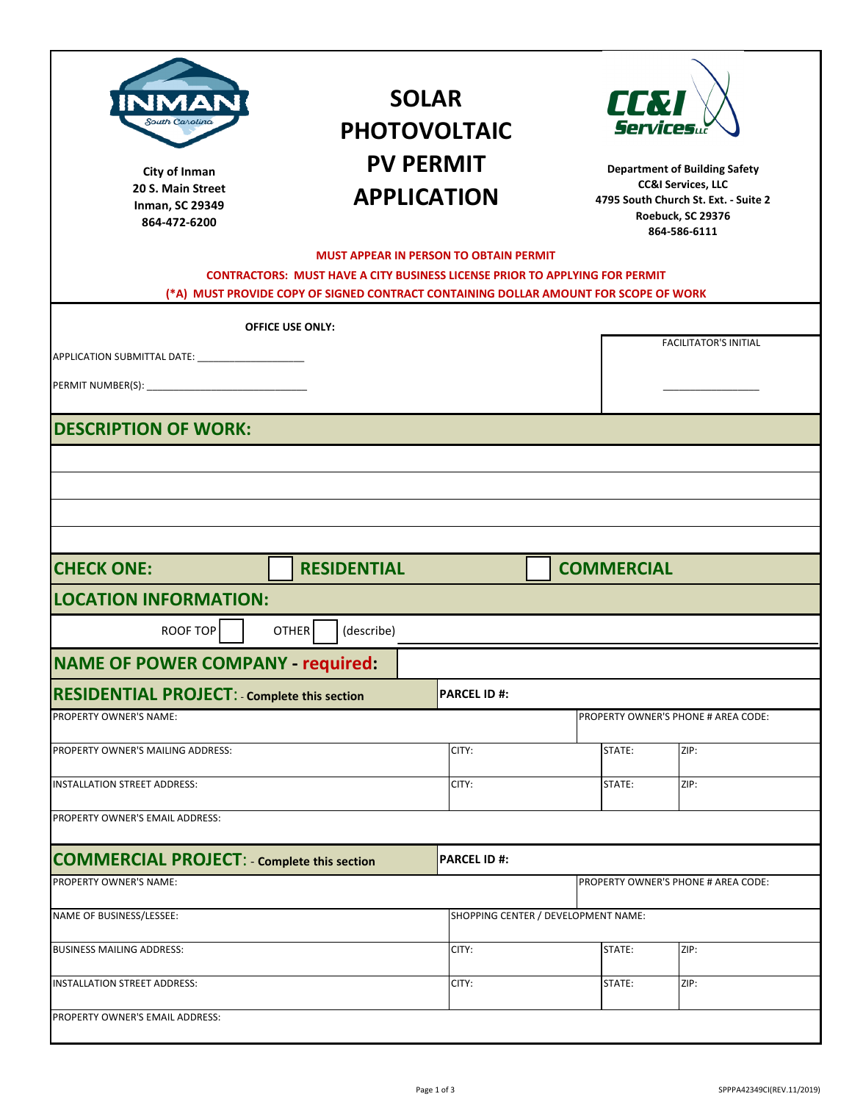| South Carolino<br>City of Inman<br>20 S. Main Street<br><b>Inman, SC 29349</b><br>864-472-6200 | (*A) MUST PROVIDE COPY OF SIGNED CONTRACT CONTAINING DOLLAR AMOUNT FOR SCOPE OF WORK | <b>SOLAR</b><br><b>PHOTOVOLTAIC</b><br><b>PV PERMIT</b><br><b>APPLICATION</b><br><b>MUST APPEAR IN PERSON TO OBTAIN PERMIT</b><br><b>CONTRACTORS: MUST HAVE A CITY BUSINESS LICENSE PRIOR TO APPLYING FOR PERMIT</b> |  | <b>CC&amp;I</b><br><b>Department of Building Safety</b><br><b>CC&amp;I Services, LLC</b><br>4795 South Church St. Ext. - Suite 2<br>Roebuck, SC 29376<br>864-586-6111 |                                     |  |  |
|------------------------------------------------------------------------------------------------|--------------------------------------------------------------------------------------|----------------------------------------------------------------------------------------------------------------------------------------------------------------------------------------------------------------------|--|-----------------------------------------------------------------------------------------------------------------------------------------------------------------------|-------------------------------------|--|--|
|                                                                                                |                                                                                      |                                                                                                                                                                                                                      |  |                                                                                                                                                                       |                                     |  |  |
| APPLICATION SUBMITTAL DATE: ________________________                                           | <b>OFFICE USE ONLY:</b>                                                              |                                                                                                                                                                                                                      |  |                                                                                                                                                                       | <b>FACILITATOR'S INITIAL</b>        |  |  |
| <b>DESCRIPTION OF WORK:</b>                                                                    |                                                                                      |                                                                                                                                                                                                                      |  |                                                                                                                                                                       |                                     |  |  |
|                                                                                                |                                                                                      |                                                                                                                                                                                                                      |  |                                                                                                                                                                       |                                     |  |  |
|                                                                                                |                                                                                      |                                                                                                                                                                                                                      |  |                                                                                                                                                                       |                                     |  |  |
|                                                                                                |                                                                                      |                                                                                                                                                                                                                      |  |                                                                                                                                                                       |                                     |  |  |
|                                                                                                |                                                                                      |                                                                                                                                                                                                                      |  |                                                                                                                                                                       |                                     |  |  |
|                                                                                                |                                                                                      |                                                                                                                                                                                                                      |  |                                                                                                                                                                       |                                     |  |  |
| <b>CHECK ONE:</b>                                                                              | <b>RESIDENTIAL</b>                                                                   |                                                                                                                                                                                                                      |  |                                                                                                                                                                       | <b>COMMERCIAL</b>                   |  |  |
| <b>LOCATION INFORMATION:</b>                                                                   |                                                                                      |                                                                                                                                                                                                                      |  |                                                                                                                                                                       |                                     |  |  |
| ROOF TOP                                                                                       | <b>OTHER</b><br>(describe)                                                           |                                                                                                                                                                                                                      |  |                                                                                                                                                                       |                                     |  |  |
| <b>NAME OF POWER COMPANY - required:</b>                                                       |                                                                                      |                                                                                                                                                                                                                      |  |                                                                                                                                                                       |                                     |  |  |
| <b>RESIDENTIAL PROJECT:</b> - Complete this section                                            |                                                                                      | <b>PARCEL ID #:</b>                                                                                                                                                                                                  |  |                                                                                                                                                                       |                                     |  |  |
| PROPERTY OWNER'S NAME:                                                                         |                                                                                      |                                                                                                                                                                                                                      |  |                                                                                                                                                                       | PROPERTY OWNER'S PHONE # AREA CODE: |  |  |
|                                                                                                |                                                                                      |                                                                                                                                                                                                                      |  |                                                                                                                                                                       |                                     |  |  |
| PROPERTY OWNER'S MAILING ADDRESS:                                                              |                                                                                      | CITY:                                                                                                                                                                                                                |  | STATE:                                                                                                                                                                | ZIP:                                |  |  |
| INSTALLATION STREET ADDRESS:                                                                   |                                                                                      | CITY:                                                                                                                                                                                                                |  | STATE:                                                                                                                                                                | ZIP:                                |  |  |
| PROPERTY OWNER'S EMAIL ADDRESS:                                                                |                                                                                      |                                                                                                                                                                                                                      |  |                                                                                                                                                                       |                                     |  |  |
| <b>COMMERCIAL PROJECT: - Complete this section</b>                                             |                                                                                      | <b>PARCEL ID#:</b>                                                                                                                                                                                                   |  |                                                                                                                                                                       |                                     |  |  |
| PROPERTY OWNER'S NAME:                                                                         |                                                                                      |                                                                                                                                                                                                                      |  |                                                                                                                                                                       | PROPERTY OWNER'S PHONE # AREA CODE: |  |  |
| NAME OF BUSINESS/LESSEE:                                                                       |                                                                                      |                                                                                                                                                                                                                      |  | SHOPPING CENTER / DEVELOPMENT NAME:                                                                                                                                   |                                     |  |  |
| <b>BUSINESS MAILING ADDRESS:</b>                                                               |                                                                                      | CITY:                                                                                                                                                                                                                |  | STATE:                                                                                                                                                                | ZIP:                                |  |  |
| <b>INSTALLATION STREET ADDRESS:</b>                                                            |                                                                                      | CITY:                                                                                                                                                                                                                |  | STATE:                                                                                                                                                                | ZIP:                                |  |  |
|                                                                                                |                                                                                      |                                                                                                                                                                                                                      |  |                                                                                                                                                                       |                                     |  |  |
| PROPERTY OWNER'S EMAIL ADDRESS:                                                                |                                                                                      |                                                                                                                                                                                                                      |  |                                                                                                                                                                       |                                     |  |  |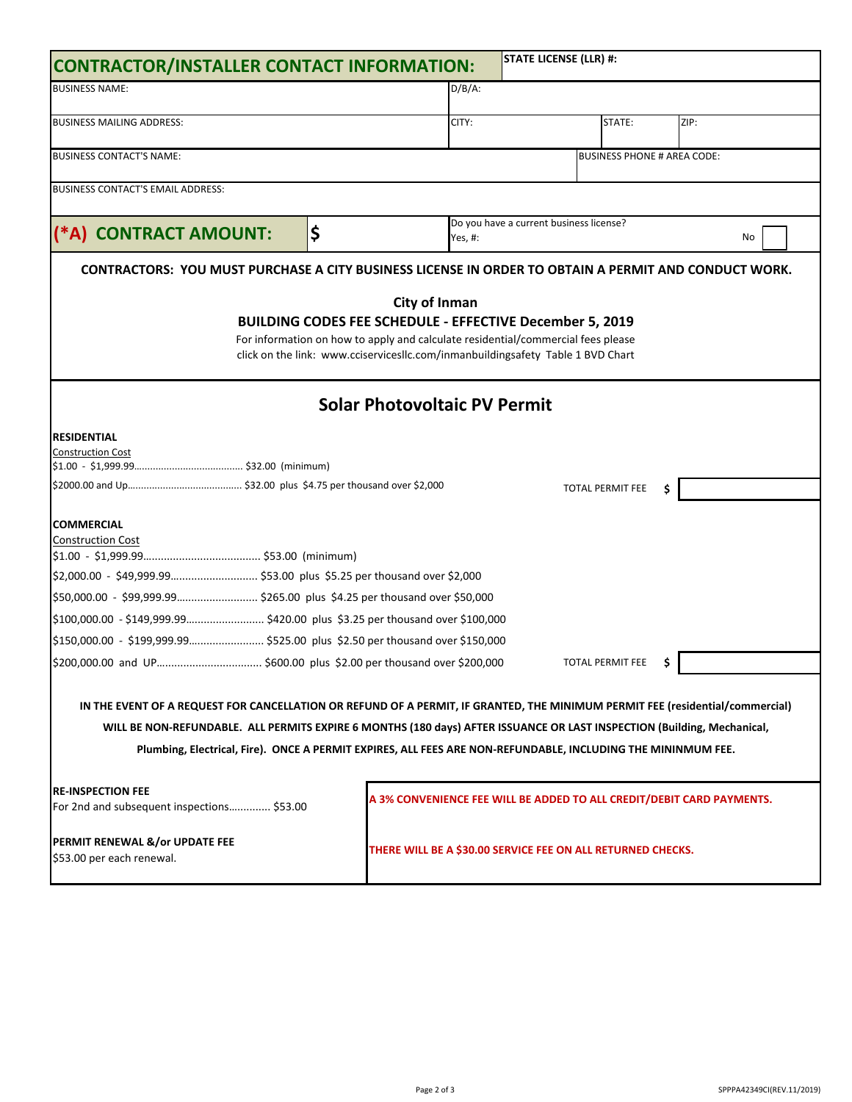|                                                                                                                                                                                                                                         |                                                                                                                                                                                                                                                                |                                                                       | <b>STATE LICENSE (LLR) #:</b>                               |                                    |    |      |
|-----------------------------------------------------------------------------------------------------------------------------------------------------------------------------------------------------------------------------------------|----------------------------------------------------------------------------------------------------------------------------------------------------------------------------------------------------------------------------------------------------------------|-----------------------------------------------------------------------|-------------------------------------------------------------|------------------------------------|----|------|
| <b>BUSINESS NAME:</b>                                                                                                                                                                                                                   |                                                                                                                                                                                                                                                                |                                                                       |                                                             |                                    |    |      |
| <b>BUSINESS MAILING ADDRESS:</b>                                                                                                                                                                                                        |                                                                                                                                                                                                                                                                | CITY:                                                                 |                                                             | STATE:                             |    | ZIP: |
| <b>BUSINESS CONTACT'S NAME:</b>                                                                                                                                                                                                         |                                                                                                                                                                                                                                                                |                                                                       |                                                             | <b>BUSINESS PHONE # AREA CODE:</b> |    |      |
| BUSINESS CONTACT'S EMAIL ADDRESS:                                                                                                                                                                                                       |                                                                                                                                                                                                                                                                |                                                                       |                                                             |                                    |    |      |
| (*A) CONTRACT AMOUNT:                                                                                                                                                                                                                   | \$                                                                                                                                                                                                                                                             | Do you have a current business license?<br>Yes, #:<br>No              |                                                             |                                    |    |      |
| CONTRACTORS: YOU MUST PURCHASE A CITY BUSINESS LICENSE IN ORDER TO OBTAIN A PERMIT AND CONDUCT WORK.                                                                                                                                    |                                                                                                                                                                                                                                                                |                                                                       |                                                             |                                    |    |      |
|                                                                                                                                                                                                                                         | <b>City of Inman</b><br><b>BUILDING CODES FEE SCHEDULE - EFFECTIVE December 5, 2019</b><br>For information on how to apply and calculate residential/commercial fees please<br>click on the link: www.cciservicesllc.com/inmanbuildingsafety Table 1 BVD Chart |                                                                       |                                                             |                                    |    |      |
|                                                                                                                                                                                                                                         | <b>Solar Photovoltaic PV Permit</b>                                                                                                                                                                                                                            |                                                                       |                                                             |                                    |    |      |
| <b>RESIDENTIAL</b><br><b>Construction Cost</b>                                                                                                                                                                                          |                                                                                                                                                                                                                                                                |                                                                       |                                                             | <b>TOTAL PERMIT FEE</b>            |    |      |
| <b>COMMERCIAL</b><br><b>Construction Cost</b>                                                                                                                                                                                           |                                                                                                                                                                                                                                                                |                                                                       |                                                             |                                    |    |      |
|                                                                                                                                                                                                                                         |                                                                                                                                                                                                                                                                |                                                                       |                                                             |                                    |    |      |
| \$50,000.00 - \$99,999.99 \$265.00 plus \$4.25 per thousand over \$50,000                                                                                                                                                               |                                                                                                                                                                                                                                                                |                                                                       |                                                             |                                    |    |      |
| \$100,000.00 - \$149,999.99 \$420.00 plus \$3.25 per thousand over \$100,000                                                                                                                                                            |                                                                                                                                                                                                                                                                |                                                                       |                                                             |                                    |    |      |
| \$150,000.00 - \$199,999.99 \$525.00 plus \$2.50 per thousand over \$150,000                                                                                                                                                            |                                                                                                                                                                                                                                                                |                                                                       |                                                             |                                    |    |      |
|                                                                                                                                                                                                                                         |                                                                                                                                                                                                                                                                |                                                                       |                                                             | <b>TOTAL PERMIT FEE</b>            | \$ |      |
| IN THE EVENT OF A REQUEST FOR CANCELLATION OR REFUND OF A PERMIT, IF GRANTED, THE MINIMUM PERMIT FEE (residential/commercial)                                                                                                           |                                                                                                                                                                                                                                                                |                                                                       |                                                             |                                    |    |      |
| WILL BE NON-REFUNDABLE. ALL PERMITS EXPIRE 6 MONTHS (180 days) AFTER ISSUANCE OR LAST INSPECTION (Building, Mechanical,<br>Plumbing, Electrical, Fire). ONCE A PERMIT EXPIRES, ALL FEES ARE NON-REFUNDABLE, INCLUDING THE MININMUM FEE. |                                                                                                                                                                                                                                                                |                                                                       |                                                             |                                    |    |      |
| <b>RE-INSPECTION FEE</b><br>For 2nd and subsequent inspections \$53.00                                                                                                                                                                  |                                                                                                                                                                                                                                                                | A 3% CONVENIENCE FEE WILL BE ADDED TO ALL CREDIT/DEBIT CARD PAYMENTS. |                                                             |                                    |    |      |
| PERMIT RENEWAL &/or UPDATE FEE<br>\$53.00 per each renewal.                                                                                                                                                                             |                                                                                                                                                                                                                                                                |                                                                       | THERE WILL BE A \$30.00 SERVICE FEE ON ALL RETURNED CHECKS. |                                    |    |      |